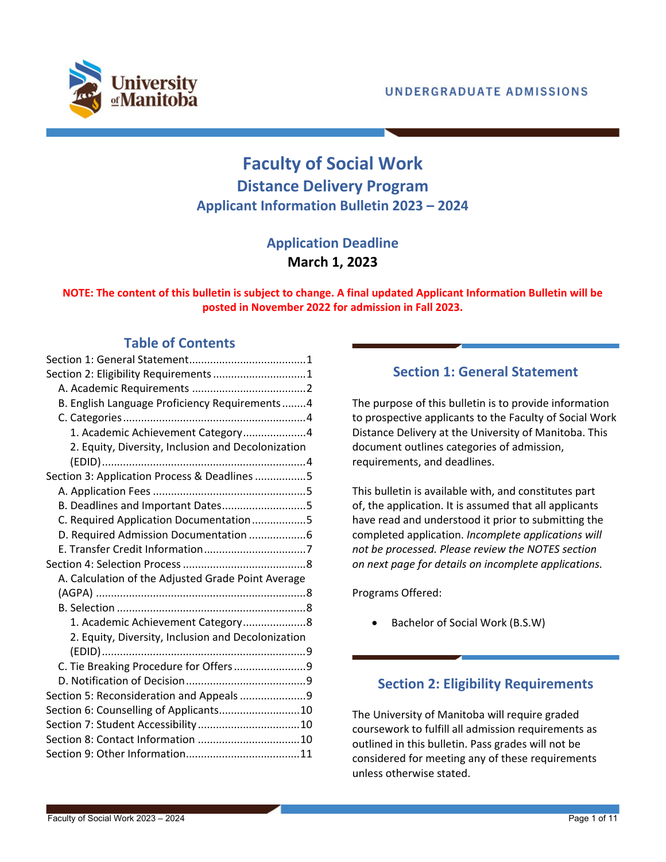

# **Faculty of Social Work Distance Delivery Program Applicant Information Bulletin 2023 – 2024**

## **Application Deadline March 1, 2023**

### **NOTE: The content of this bulletin is subject to change. A final updated Applicant Information Bulletin will be posted in November 2022 for admission in Fall 2023.**

## **Table of Contents**

| Section 2: Eligibility Requirements1               |
|----------------------------------------------------|
|                                                    |
| B. English Language Proficiency Requirements4      |
|                                                    |
| 1. Academic Achievement Category4                  |
| 2. Equity, Diversity, Inclusion and Decolonization |
|                                                    |
| Section 3: Application Process & Deadlines 5       |
|                                                    |
| B. Deadlines and Important Dates5                  |
| C. Required Application Documentation5             |
| D. Required Admission Documentation 6              |
|                                                    |
|                                                    |
|                                                    |
| A. Calculation of the Adjusted Grade Point Average |
|                                                    |
|                                                    |
| 1. Academic Achievement Category 8                 |
| 2. Equity, Diversity, Inclusion and Decolonization |
|                                                    |
| C. Tie Breaking Procedure for Offers9              |
|                                                    |
| Section 5: Reconsideration and Appeals 9           |
| Section 6: Counselling of Applicants10             |
|                                                    |
|                                                    |

## **Section 1: General Statement**

<span id="page-0-0"></span>The purpose of this bulletin is to provide information to prospective applicants to the Faculty of Social Work Distance Delivery at the University of Manitoba. This document outlines categories of admission, requirements, and deadlines.

This bulletin is available with, and constitutes part of, the application. It is assumed that all applicants have read and understood it prior to submitting the completed application. *Incomplete applications will not be processed. Please review the NOTES section on next page for details on incomplete applications.* 

Programs Offered:

Bachelor of Social Work (B.S.W)

## <span id="page-0-1"></span>**Section 2: Eligibility Requirements**

The University of Manitoba will require graded coursework to fulfill all admission requirements as outlined in this bulletin. Pass grades will not be considered for meeting any of these requirements unless otherwise stated.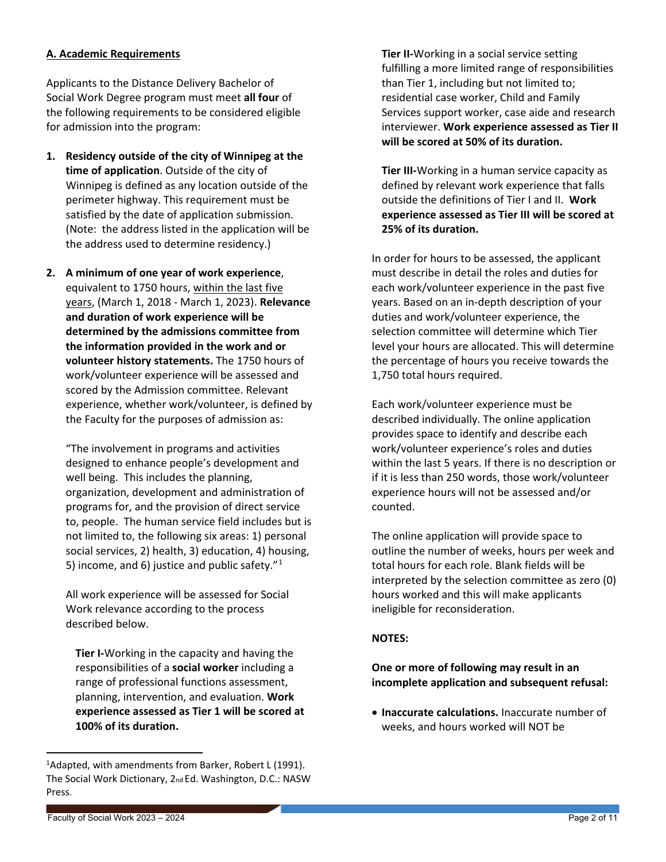### <span id="page-1-0"></span>**A. Academic Requirements**

Applicants to the Distance Delivery Bachelor of Social Work Degree program must meet **all four** of the following requirements to be considered eligible for admission into the program:

- **1. Residency outside of the city of Winnipeg at the time of application**. Outside of the city of Winnipeg is defined as any location outside of the perimeter highway. This requirement must be satisfied by the date of application submission. (Note: the address listed in the application will be the address used to determine residency.)
- **2. A minimum of one year of work experience**, equivalent to 1750 hours, within the last five years, (March 1, 2018 - March 1, 2023). **Relevance and duration of work experience will be determined by the admissions committee from the information provided in the work and or volunteer history statements.** The 1750 hours of work/volunteer experience will be assessed and scored by the Admission committee. Relevant experience, whether work/volunteer, is defined by the Faculty for the purposes of admission as:

"The involvement in programs and activities designed to enhance people's development and well being. This includes the planning, organization, development and administration of programs for, and the provision of direct service to, people. The human service field includes but is not limited to, the following six areas: 1) personal social services, 2) health, 3) education, 4) housing, 5) income, and 6) justice and public safety. $"1$  $"1$ 

All work experience will be assessed for Social Work relevance according to the process described below.

**Tier I-**Working in the capacity and having the responsibilities of a **social worker** including a range of professional functions assessment, planning, intervention, and evaluation. **Work experience assessed as Tier 1 will be scored at 100% of its duration.** 

**Tier II-**Working in a social service setting fulfilling a more limited range of responsibilities than Tier 1, including but not limited to; residential case worker, Child and Family Services support worker, case aide and research interviewer. **Work experience assessed as Tier II will be scored at 50% of its duration.**

**Tier III-**Working in a human service capacity as defined by relevant work experience that falls outside the definitions of Tier I and II. **Work experience assessed as Tier III will be scored at 25% of its duration.** 

In order for hours to be assessed, the applicant must describe in detail the roles and duties for each work/volunteer experience in the past five years. Based on an in-depth description of your duties and work/volunteer experience, the selection committee will determine which Tier level your hours are allocated. This will determine the percentage of hours you receive towards the 1,750 total hours required.

Each work/volunteer experience must be described individually. The online application provides space to identify and describe each work/volunteer experience's roles and duties within the last 5 years. If there is no description or if it is less than 250 words, those work/volunteer experience hours will not be assessed and/or counted.

The online application will provide space to outline the number of weeks, hours per week and total hours for each role. Blank fields will be interpreted by the selection committee as zero (0) hours worked and this will make applicants ineligible for reconsideration.

### **NOTES:**

**One or more of following may result in an incomplete application and subsequent refusal:** 

• **Inaccurate calculations.** Inaccurate number of weeks, and hours worked will NOT be

<span id="page-1-1"></span><sup>&</sup>lt;sup>1</sup>Adapted, with amendments from Barker, Robert L (1991). The Social Work Dictionary, 2nd Ed. Washington, D.C.: NASW Press.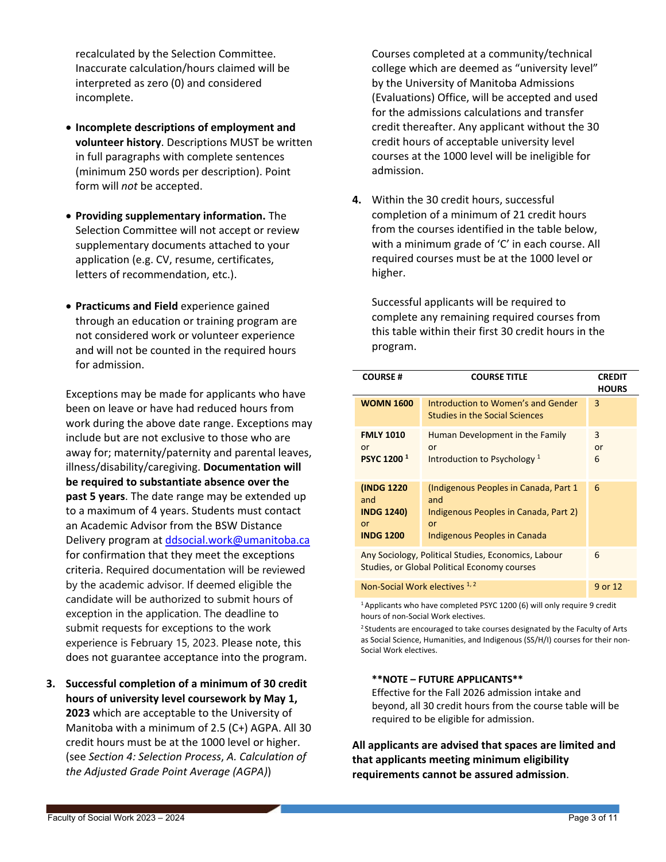recalculated by the Selection Committee. Inaccurate calculation/hours claimed will be interpreted as zero (0) and considered incomplete.

- **Incomplete descriptions of employment and volunteer history**. Descriptions MUST be written in full paragraphs with complete sentences (minimum 250 words per description). Point form will *not* be accepted.
- **Providing supplementary information.** The Selection Committee will not accept or review supplementary documents attached to your application (e.g. CV, resume, certificates, letters of recommendation, etc.).
- **Practicums and Field** experience gained through an education or training program are not considered work or volunteer experience and will not be counted in the required hours for admission.

Exceptions may be made for applicants who have been on leave or have had reduced hours from work during the above date range. Exceptions may include but are not exclusive to those who are away for; maternity/paternity and parental leaves, illness/disability/caregiving. **Documentation will be required to substantiate absence over the past 5 years**. The date range may be extended up to a maximum of 4 years. Students must contact an Academic Advisor from the BSW Distance Delivery program at [ddsocial.work@umanitoba.ca](mailto:ddsocial.work@umanitoba.ca) for confirmation that they meet the exceptions criteria. Required documentation will be reviewed by the academic advisor. If deemed eligible the candidate will be authorized to submit hours of exception in the application. The deadline to submit requests for exceptions to the work experience is February 15, 2023. Please note, this does not guarantee acceptance into the program.

**3. Successful completion of a minimum of 30 credit hours of university level coursework by May 1, 2023** which are acceptable to the University of Manitoba with a minimum of 2.5 (C+) AGPA. All 30 credit hours must be at the 1000 level or higher. (see *[Section 4: Selection Process](#page-7-0)*, *[A. Calculation of](#page-7-1)  [the Adjusted Grade Point Average \(AGPA\)](#page-7-1)*)

Courses completed at a community/technical college which are deemed as "university level" by the University of Manitoba Admissions (Evaluations) Office, will be accepted and used for the admissions calculations and transfer credit thereafter. Any applicant without the 30 credit hours of acceptable university level courses at the 1000 level will be ineligible for admission.

**4.** Within the 30 credit hours, successful completion of a minimum of 21 credit hours from the courses identified in the table below, with a minimum grade of 'C' in each course. All required courses must be at the 1000 level or higher.

Successful applicants will be required to complete any remaining required courses from this table within their first 30 credit hours in the program.

| <b>COURSE#</b>                                                                                             | <b>COURSE TITLE</b>                                                                                                          | <b>CREDIT</b><br><b>HOURS</b> |
|------------------------------------------------------------------------------------------------------------|------------------------------------------------------------------------------------------------------------------------------|-------------------------------|
| <b>WOMN 1600</b>                                                                                           | Introduction to Women's and Gender<br><b>Studies in the Social Sciences</b>                                                  | 3                             |
| <b>FMLY 1010</b><br>or<br><b>PSYC 1200<sup>1</sup></b>                                                     | Human Development in the Family<br>or<br>Introduction to Psychology <sup>1</sup>                                             | 3<br>or<br>6                  |
| (INDG 1220)<br>and<br><b>INDG 1240)</b><br>or<br><b>INDG 1200</b>                                          | (Indigenous Peoples in Canada, Part 1)<br>and<br>Indigenous Peoples in Canada, Part 2)<br>or<br>Indigenous Peoples in Canada | 6                             |
| Any Sociology, Political Studies, Economics, Labour<br><b>Studies, or Global Political Economy courses</b> |                                                                                                                              | 6                             |
| Non-Social Work electives 1, 2                                                                             |                                                                                                                              | 9 or 12                       |

<sup>1</sup> Applicants who have completed PSYC 1200 (6) will only require 9 credit hours of non-Social Work electives.

<sup>2</sup> Students are encouraged to take courses designated by the Faculty of Arts as Social Science, Humanities, and Indigenous (SS/H/I) courses for their non-Social Work electives.

#### **\*\*NOTE – FUTURE APPLICANTS\*\***

Effective for the Fall 2026 admission intake and beyond, all 30 credit hours from the course table will be required to be eligible for admission.

**All applicants are advised that spaces are limited and that applicants meeting minimum eligibility requirements cannot be assured admission**.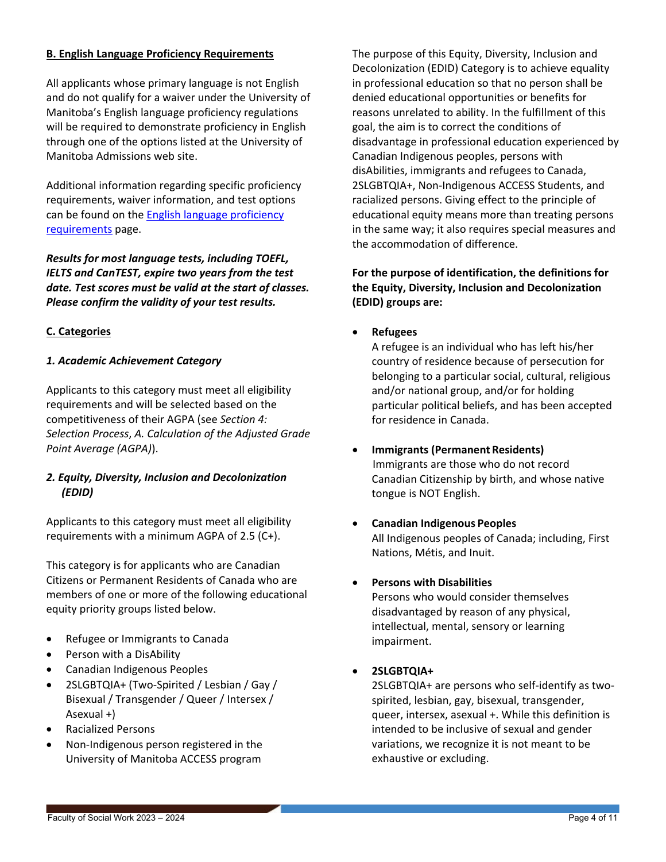### <span id="page-3-4"></span><span id="page-3-0"></span>**B. English Language Proficiency Requirements**

All applicants whose primary language is not English and do not qualify for a waiver under the University of Manitoba's English language proficiency regulations will be required to demonstrate proficiency in English through one of the options listed at the University of Manitoba Admissions web site.

Additional information regarding specific proficiency requirements, waiver information, and test options can be found on the [English language proficiency](https://umanitoba.ca/admissions/undergraduate/requirements/english-language-proficiency)  [requirements](https://umanitoba.ca/admissions/undergraduate/requirements/english-language-proficiency) page.

*Results for most language tests, including TOEFL, IELTS and CanTEST, expire two years from the test date. Test scores must be valid at the start of classes. Please confirm the validity of your test results.*

### <span id="page-3-1"></span>**C. Categories**

### <span id="page-3-2"></span>*1. Academic Achievement Category*

Applicants to this category must meet all eligibility requirements and will be selected based on the competitiveness of their AGPA (see *[Section 4:](#page-7-0)  [Selection Process](#page-7-0)*, *[A. Calculation of the Adjusted Grade](#page-7-1)  [Point Average \(AGPA\)](#page-7-1)*).

### <span id="page-3-3"></span>*2. Equity, Diversity, Inclusion and Decolonization (EDID)*

Applicants to this category must meet all eligibility requirements with a minimum AGPA of 2.5 (C+).

This category is for applicants who are Canadian Citizens or Permanent Residents of Canada who are members of one or more of the following educational equity priority groups listed below.

- Refugee or Immigrants to Canada
- Person with a DisAbility
- Canadian Indigenous Peoples
- 2SLGBTQIA+ (Two-Spirited / Lesbian / Gay / Bisexual / Transgender / Queer / Intersex / Asexual +)
- Racialized Persons
- Non-Indigenous person registered in the University of Manitoba ACCESS program

The purpose of this Equity, Diversity, Inclusion and Decolonization (EDID) Category is to achieve equality in professional education so that no person shall be denied educational opportunities or benefits for reasons unrelated to ability. In the fulfillment of this goal, the aim is to correct the conditions of disadvantage in professional education experienced by Canadian Indigenous peoples, persons with disAbilities, immigrants and refugees to Canada, 2SLGBTQIA+, Non-Indigenous ACCESS Students, and racialized persons. Giving effect to the principle of educational equity means more than treating persons in the same way; it also requires special measures and the accommodation of difference.

## **For the purpose of identification, the definitions for the Equity, Diversity, Inclusion and Decolonization (EDID) groups are:**

• **Refugees**

A refugee is an individual who has left his/her country of residence because of persecution for belonging to a particular social, cultural, religious and/or national group, and/or for holding particular political beliefs, and has been accepted for residence in Canada.

- **Immigrants (Permanent Residents)** Immigrants are those who do not record Canadian Citizenship by birth, and whose native tongue is NOT English.
- **Canadian Indigenous Peoples** All Indigenous peoples of Canada; including, First Nations, Métis, and Inuit.

### • **Persons with Disabilities**

Persons who would consider themselves disadvantaged by reason of any physical, intellectual, mental, sensory or learning impairment.

### • **2SLGBTQIA+**

2SLGBTQIA+ are persons who self-identify as twospirited, lesbian, gay, bisexual, transgender, queer, intersex, asexual +. While this definition is intended to be inclusive of sexual and gender variations, we recognize it is not meant to be exhaustive or excluding.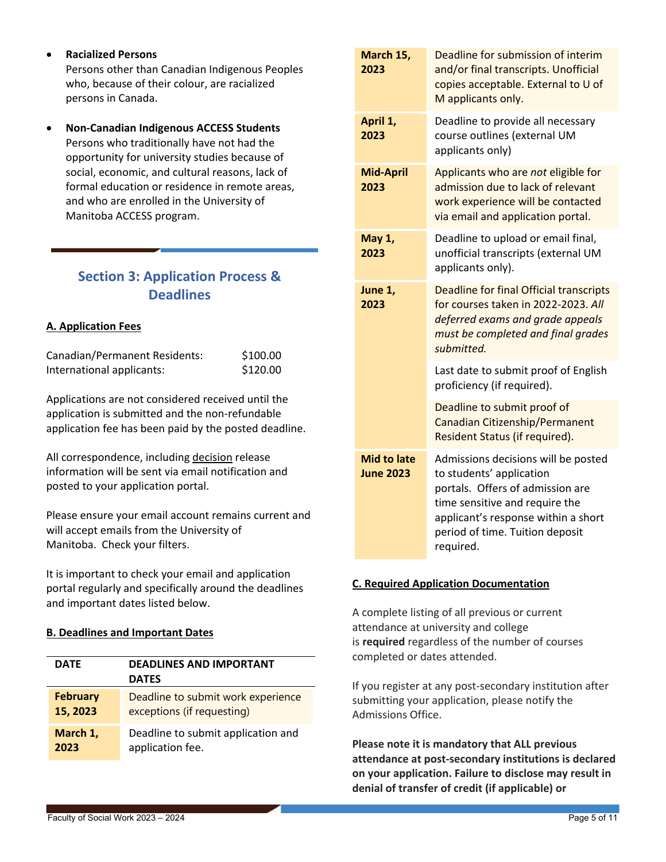- **Racialized Persons** Persons other than Canadian Indigenous Peoples who, because of their colour, are racialized persons in Canada.
- **Non-Canadian Indigenous ACCESS Students**  Persons who traditionally have not had the opportunity for university studies because of social, economic, and cultural reasons, lack of formal education or residence in remote areas, and who are enrolled in the University of Manitoba ACCESS program.

## <span id="page-4-0"></span>**Section 3: Application Process & Deadlines**

## <span id="page-4-1"></span>**A. Application Fees**

| Canadian/Permanent Residents: | \$100.00 |
|-------------------------------|----------|
| International applicants:     | \$120.00 |

Applications are not considered received until the application is submitted and the non-refundable application fee has been paid by the posted deadline.

All correspondence, including decision release information will be sent via email notification and posted to your application portal.

Please ensure your email account remains current and will accept emails from the University of Manitoba. Check your filters.

It is important to check your email and application portal regularly and specifically around the deadlines and important dates listed below.

### <span id="page-4-2"></span>**B. Deadlines and Important Dates**

| <b>DATE</b>     | <b>DEADLINES AND IMPORTANT</b><br><b>DATES</b> |
|-----------------|------------------------------------------------|
| <b>February</b> | Deadline to submit work experience             |
| 15, 2023        | exceptions (if requesting)                     |
| March 1,        | Deadline to submit application and             |
| 2023            | application fee.                               |

| March 15,<br>2023                      | Deadline for submission of interim<br>and/or final transcripts. Unofficial<br>copies acceptable. External to U of<br>M applicants only.                                                                                      |
|----------------------------------------|------------------------------------------------------------------------------------------------------------------------------------------------------------------------------------------------------------------------------|
| April 1,<br>2023                       | Deadline to provide all necessary<br>course outlines (external UM<br>applicants only)                                                                                                                                        |
| <b>Mid-April</b><br>2023               | Applicants who are not eligible for<br>admission due to lack of relevant<br>work experience will be contacted<br>via email and application portal.                                                                           |
| May 1,<br>2023                         | Deadline to upload or email final,<br>unofficial transcripts (external UM<br>applicants only).                                                                                                                               |
| June 1,<br>2023                        | <b>Deadline for final Official transcripts</b><br>for courses taken in 2022-2023, All<br>deferred exams and grade appeals<br>must be completed and final grades<br>submitted.                                                |
|                                        | Last date to submit proof of English<br>proficiency (if required).                                                                                                                                                           |
|                                        | Deadline to submit proof of<br>Canadian Citizenship/Permanent<br>Resident Status (if required).                                                                                                                              |
| <b>Mid to late</b><br><b>June 2023</b> | Admissions decisions will be posted<br>to students' application<br>portals. Offers of admission are<br>time sensitive and require the<br>applicant's response within a short<br>period of time. Tuition deposit<br>required. |

### <span id="page-4-3"></span>**C. Required Application Documentation**

A complete listing of all previous or current attendance at university and college is **required** regardless of the number of courses completed or dates attended.

If you register at any post-secondary institution after submitting your application, please notify the Admissions Office.

**Please note it is mandatory that ALL previous attendance at post-secondary institutions is declared on your application. Failure to disclose may result in denial of transfer of credit (if applicable) or**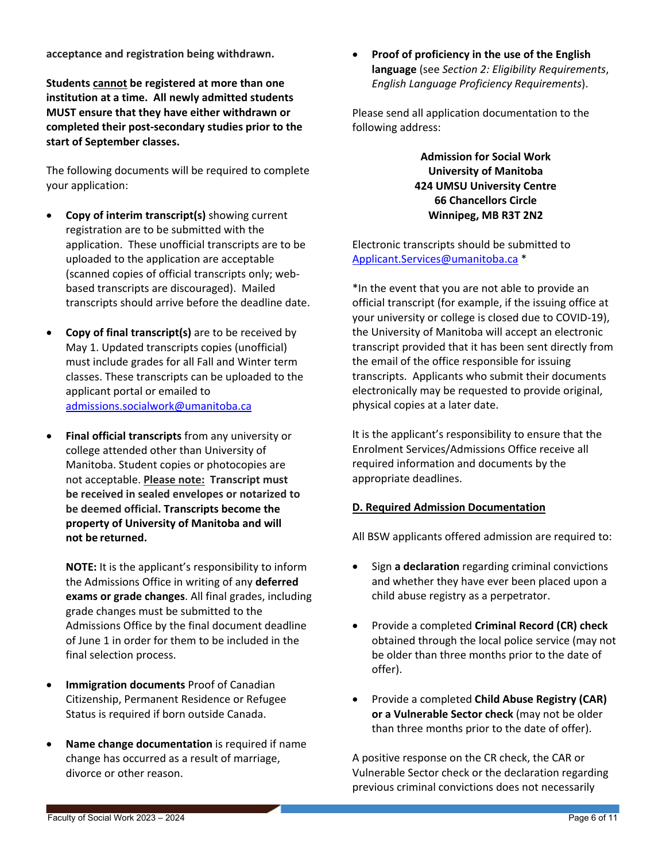**acceptance and registration being withdrawn.**

**Students cannot be registered at more than one institution at a time. All newly admitted students MUST ensure that they have either withdrawn or completed their post-secondary studies prior to the start of September classes.** 

The following documents will be required to complete your application:

- **Copy of interim transcript(s)** showing current registration are to be submitted with the application. These unofficial transcripts are to be uploaded to the application are acceptable (scanned copies of official transcripts only; webbased transcripts are discouraged). Mailed transcripts should arrive before the deadline date.
- **Copy of final transcript(s)** are to be received by May 1. Updated transcripts copies (unofficial) must include grades for all Fall and Winter term classes. These transcripts can be uploaded to the applicant portal or emailed to [admissions.socialwork@umanitoba.ca](mailto:admissions.socialwork@umanitoba.ca)
- **Final official transcripts** from any university or college attended other than University of Manitoba. Student copies or photocopies are not acceptable. **Please note: Transcript must be received in sealed envelopes or notarized to be deemed official. Transcripts become the property of University of Manitoba and will not be returned.**

**NOTE:** It is the applicant's responsibility to inform the Admissions Office in writing of any **deferred exams or grade changes**. All final grades, including grade changes must be submitted to the Admissions Office by the final document deadline of June 1 in order for them to be included in the final selection process.

- **Immigration documents** Proof of Canadian Citizenship, Permanent Residence or Refugee Status is required if born outside Canada.
- **Name change documentation** is required if name change has occurred as a result of marriage, divorce or other reason.

• **Proof of proficiency in the use of the English language** (see *[Section 2: Eligibility Requirements](#page-0-1)*, *[English Language Proficiency Requirements](#page-3-4)*).

Please send all application documentation to the following address:

> **Admission for Social Work University of Manitoba 424 UMSU University Centre 66 Chancellors Circle Winnipeg, MB R3T 2N2**

Electronic transcripts should be submitted to [Applicant.Services@umanitoba.ca](mailto:Applicant.Services@umanitoba.ca) \*

\*In the event that you are not able to provide an official transcript (for example, if the issuing office at your university or college is closed due to COVID-19), the University of Manitoba will accept an electronic transcript provided that it has been sent directly from the email of the office responsible for issuing transcripts. Applicants who submit their documents electronically may be requested to provide original, physical copies at a later date.

It is the applicant's responsibility to ensure that the Enrolment Services/Admissions Office receive all required information and documents by the appropriate deadlines.

### <span id="page-5-0"></span>**D. Required Admission Documentation**

All BSW applicants offered admission are required to:

- Sign **a declaration** regarding criminal convictions and whether they have ever been placed upon a child abuse registry as a perpetrator.
- Provide a completed **Criminal Record (CR) check** obtained through the local police service (may not be older than three months prior to the date of offer).
- Provide a completed **Child Abuse Registry (CAR) or a Vulnerable Sector check** (may not be older than three months prior to the date of offer).

A positive response on the CR check, the CAR or Vulnerable Sector check or the declaration regarding previous criminal convictions does not necessarily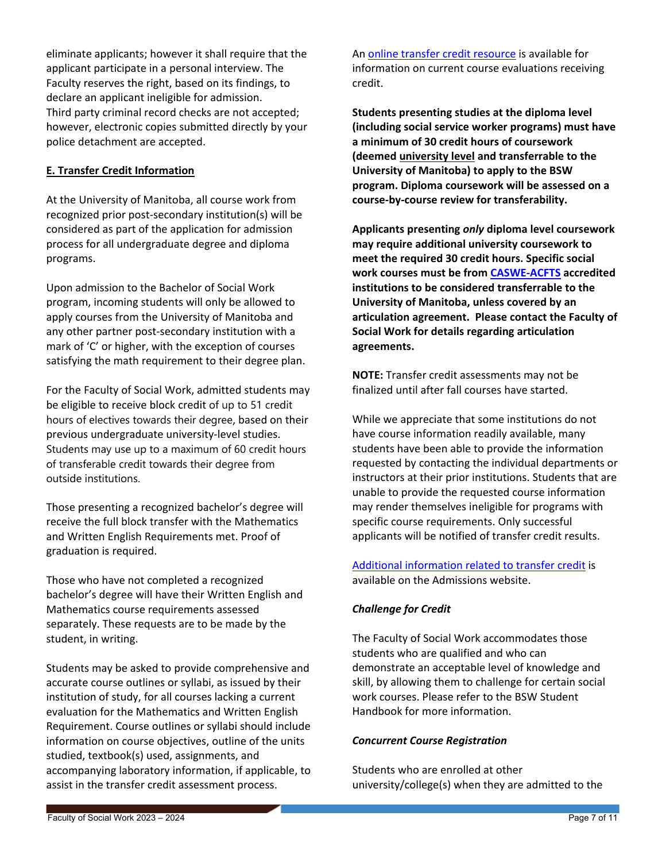eliminate applicants; however it shall require that the applicant participate in a personal interview. The Faculty reserves the right, based on its findings, to declare an applicant ineligible for admission. Third party criminal record checks are not accepted; however, electronic copies submitted directly by your police detachment are accepted.

### <span id="page-6-0"></span>**E. Transfer Credit Information**

At the University of Manitoba, all course work from recognized prior post-secondary institution(s) will be considered as part of the application for admission process for all undergraduate degree and diploma programs.

Upon admission to the Bachelor of Social Work program, incoming students will only be allowed to apply courses from the University of Manitoba and any other partner post-secondary institution with a mark of 'C' or higher, with the exception of courses satisfying the math requirement to their degree plan.

For the Faculty of Social Work, admitted students may be eligible to receive block credit of up to 51 credit hours of electives towards their degree, based on their previous undergraduate university-level studies. Students may use up to a maximum of 60 credit hours of transferable credit towards their degree from outside institutions.

Those presenting a recognized bachelor's degree will receive the full block transfer with the Mathematics and Written English Requirements met. Proof of graduation is required.

Those who have not completed a recognized bachelor's degree will have their Written English and Mathematics course requirements assessed separately. These requests are to be made by the student, in writing.

Students may be asked to provide comprehensive and accurate course outlines or syllabi, as issued by their institution of study, for all courses lacking a current evaluation for the Mathematics and Written English Requirement. Course outlines or syllabi should include information on course objectives, outline of the units studied, textbook(s) used, assignments, and accompanying laboratory information, if applicable, to assist in the transfer credit assessment process.

A[n online transfer credit resource](https://aurora.umanitoba.ca/banprod/ksstransequiv.p_trans_eq_main) is available for information on current course evaluations receiving credit.

**Students presenting studies at the diploma level (including social service worker programs) must have a minimum of 30 credit hours of coursework (deemed university level and transferrable to the University of Manitoba) to apply to the BSW program. Diploma coursework will be assessed on a course-by-course review for transferability.** 

**Applicants presenting** *only* **diploma level coursework may require additional university coursework to meet the required 30 credit hours. Specific social work courses must be from [CASWE-ACFTS](https://caswe-acfts.ca/home/) accredited institutions to be considered transferrable to the University of Manitoba, unless covered by an articulation agreement. Please contact the Faculty of Social Work for details regarding articulation agreements.**

**NOTE:** Transfer credit assessments may not be finalized until after fall courses have started.

While we appreciate that some institutions do not have course information readily available, many students have been able to provide the information requested by contacting the individual departments or instructors at their prior institutions. Students that are unable to provide the requested course information may render themselves ineligible for programs with specific course requirements. Only successful applicants will be notified of transfer credit results.

[Additional information related to transfer credit](https://umanitoba.ca/admissions/undergraduate/requirements/transfer-credit) is available on the Admissions website.

## *Challenge for Credit*

The Faculty of Social Work accommodates those students who are qualified and who can demonstrate an acceptable level of knowledge and skill, by allowing them to challenge for certain social work courses. Please refer to the BSW Student Handbook for more information.

### *Concurrent Course Registration*

Students who are enrolled at other university/college(s) when they are admitted to the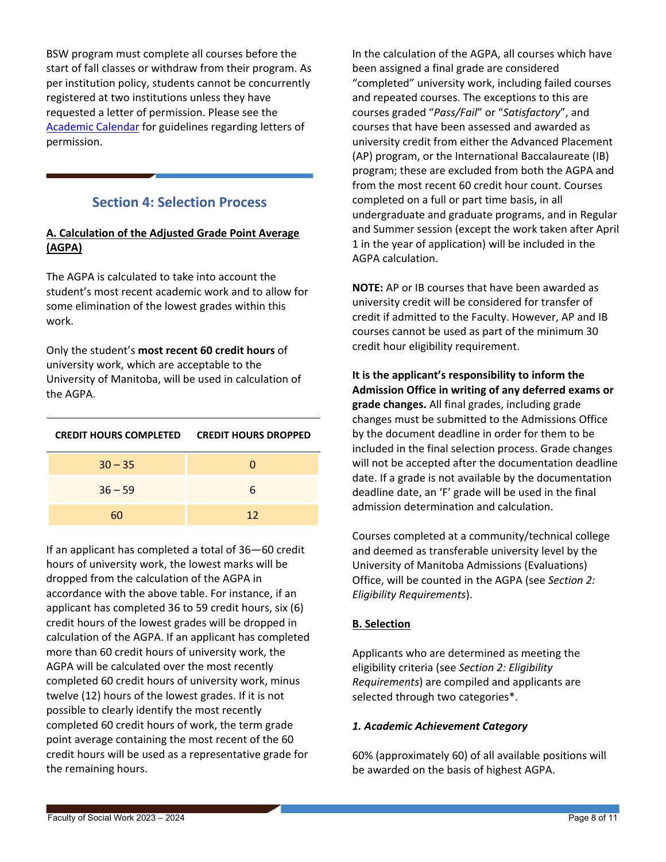BSW program must complete all courses before the start of fall classes or withdraw from their program. As per institution policy, students cannot be concurrently registered at two institutions unless they have requested a letter of permission. Please see the [Academic Calendar](https://catalog.umanitoba.ca/) for guidelines regarding letters of permission.

## **Section 4: Selection Process**

### <span id="page-7-1"></span><span id="page-7-0"></span>**A. Calculation of the Adjusted Grade Point Average (AGPA)**

The AGPA is calculated to take into account the student's most recent academic work and to allow for some elimination of the lowest grades within this work.

Only the student's **most recent 60 credit hours** of university work, which are acceptable to the University of Manitoba, will be used in calculation of the AGPA.

| <b>CREDIT HOURS COMPLETED</b> | <b>CREDIT HOURS DROPPED</b> |
|-------------------------------|-----------------------------|
| $30 - 35$                     | O                           |
| $36 - 59$                     | 6                           |
| 6Ω                            | 12                          |

If an applicant has completed a total of 36—60 credit hours of university work, the lowest marks will be dropped from the calculation of the AGPA in accordance with the above table. For instance, if an applicant has completed 36 to 59 credit hours, six (6) credit hours of the lowest grades will be dropped in calculation of the AGPA. If an applicant has completed more than 60 credit hours of university work, the AGPA will be calculated over the most recently completed 60 credit hours of university work, minus twelve (12) hours of the lowest grades. If it is not possible to clearly identify the most recently completed 60 credit hours of work, the term grade point average containing the most recent of the 60 credit hours will be used as a representative grade for the remaining hours.

In the calculation of the AGPA, all courses which have been assigned a final grade are considered "completed" university work, including failed courses and repeated courses. The exceptions to this are courses graded "*Pass/Fail*" or "*Satisfactory*", and courses that have been assessed and awarded as university credit from either the Advanced Placement (AP) program, or the International Baccalaureate (IB) program; these are excluded from both the AGPA and from the most recent 60 credit hour count. Courses completed on a full or part time basis, in all undergraduate and graduate programs, and in Regular and Summer session (except the work taken after April 1 in the year of application) will be included in the AGPA calculation.

**NOTE:** AP or IB courses that have been awarded as university credit will be considered for transfer of credit if admitted to the Faculty. However, AP and IB courses cannot be used as part of the minimum 30 credit hour eligibility requirement.

**It is the applicant's responsibility to inform the Admission Office in writing of any deferred exams or grade changes.** All final grades, including grade changes must be submitted to the Admissions Office by the document deadline in order for them to be included in the final selection process. Grade changes will not be accepted after the documentation deadline date. If a grade is not available by the documentation deadline date, an 'F' grade will be used in the final admission determination and calculation.

Courses completed at a community/technical college and deemed as transferable university level by the University of Manitoba Admissions (Evaluations) Office, will be counted in the AGPA (see *[Section 2:](#page-0-1)  [Eligibility Requirements](#page-0-1)*).

### <span id="page-7-2"></span>**B. Selection**

Applicants who are determined as meeting the eligibility criteria (see *[Section 2: Eligibility](#page-0-1)  [Requirements](#page-0-1)*) are compiled and applicants are selected through two categories\*.

#### <span id="page-7-3"></span>*1. Academic Achievement Category*

60% (approximately 60) of all available positions will be awarded on the basis of highest AGPA.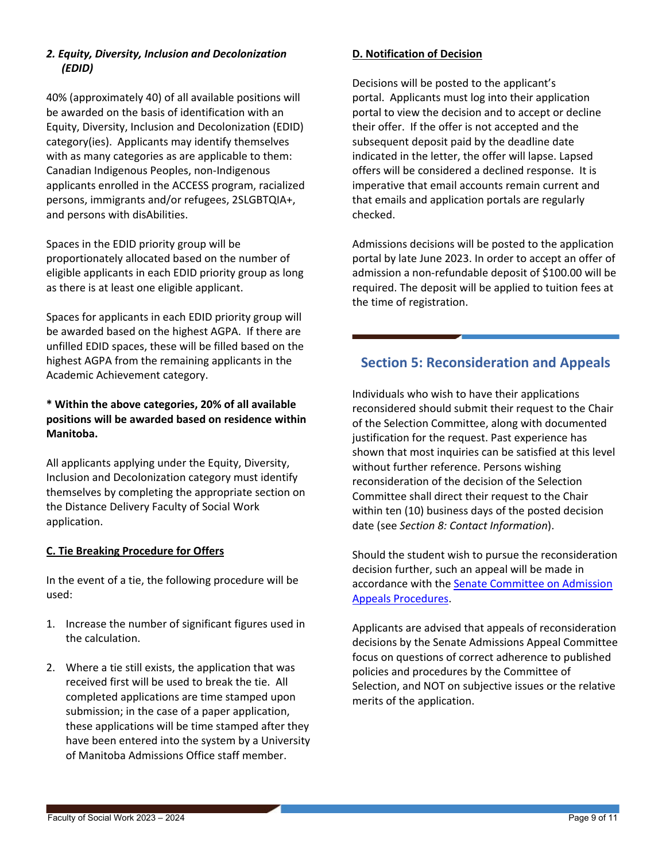## <span id="page-8-0"></span>*2. Equity, Diversity, Inclusion and Decolonization (EDID)*

40% (approximately 40) of all available positions will be awarded on the basis of identification with an Equity, Diversity, Inclusion and Decolonization (EDID) category(ies). Applicants may identify themselves with as many categories as are applicable to them: Canadian Indigenous Peoples, non-Indigenous applicants enrolled in the ACCESS program, racialized persons, immigrants and/or refugees, 2SLGBTQIA+, and persons with disAbilities.

Spaces in the EDID priority group will be proportionately allocated based on the number of eligible applicants in each EDID priority group as long as there is at least one eligible applicant.

Spaces for applicants in each EDID priority group will be awarded based on the highest AGPA. If there are unfilled EDID spaces, these will be filled based on the highest AGPA from the remaining applicants in the Academic Achievement category.

## **\* Within the above categories, 20% of all available positions will be awarded based on residence within Manitoba.**

All applicants applying under the Equity, Diversity, Inclusion and Decolonization category must identify themselves by completing the appropriate section on the Distance Delivery Faculty of Social Work application.

## <span id="page-8-1"></span>**C. Tie Breaking Procedure for Offers**

In the event of a tie, the following procedure will be used:

- 1. Increase the number of significant figures used in the calculation.
- 2. Where a tie still exists, the application that was received first will be used to break the tie. All completed applications are time stamped upon submission; in the case of a paper application, these applications will be time stamped after they have been entered into the system by a University of Manitoba Admissions Office staff member.

### <span id="page-8-2"></span>**D. Notification of Decision**

Decisions will be posted to the applicant's portal. Applicants must log into their application portal to view the decision and to accept or decline their offer. If the offer is not accepted and the subsequent deposit paid by the deadline date indicated in the letter, the offer will lapse. Lapsed offers will be considered a declined response. It is imperative that email accounts remain current and that emails and application portals are regularly checked.

Admissions decisions will be posted to the application portal by late June 2023. In order to accept an offer of admission a non-refundable deposit of \$100.00 will be required. The deposit will be applied to tuition fees at the time of registration.

## <span id="page-8-3"></span>**Section 5: Reconsideration and Appeals**

Individuals who wish to have their applications reconsidered should submit their request to the Chair of the Selection Committee, along with documented justification for the request. Past experience has shown that most inquiries can be satisfied at this level without further reference. Persons wishing reconsideration of the decision of the Selection Committee shall direct their request to the Chair within ten (10) business days of the posted decision date (see *[Section 8: Contact Information](#page-9-2)*).

Should the student wish to pursue the reconsideration decision further, such an appeal will be made in accordance with the [Senate Committee on Admission](https://umanitoba.ca/admin/governance/governing_documents/students/admission_appeals.html)  [Appeals Procedures.](https://umanitoba.ca/admin/governance/governing_documents/students/admission_appeals.html)

Applicants are advised that appeals of reconsideration decisions by the Senate Admissions Appeal Committee focus on questions of correct adherence to published policies and procedures by the Committee of Selection, and NOT on subjective issues or the relative merits of the application.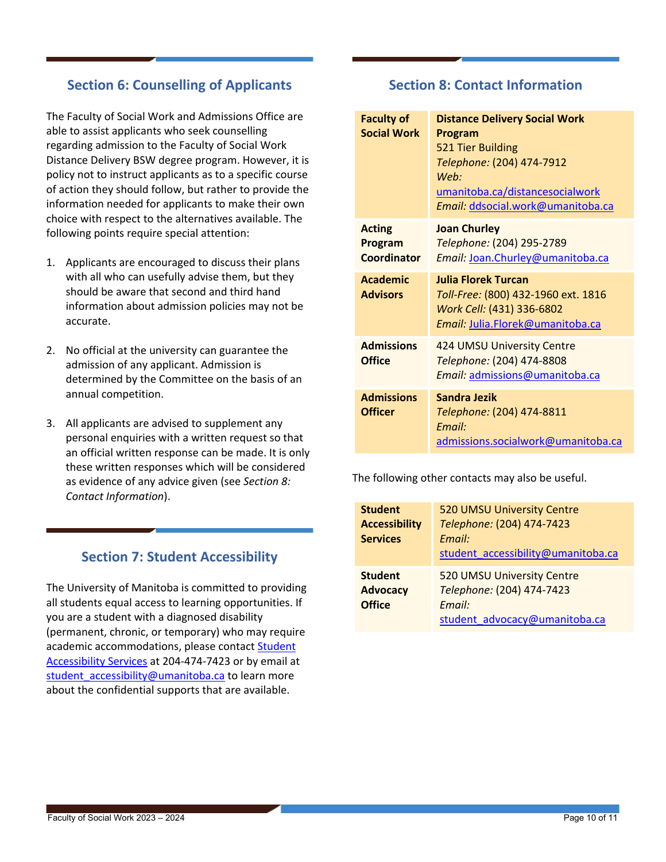## <span id="page-9-0"></span>**Section 6: Counselling of Applicants**

The Faculty of Social Work and Admissions Office are able to assist applicants who seek counselling regarding admission to the Faculty of Social Work Distance Delivery BSW degree program. However, it is policy not to instruct applicants as to a specific course of action they should follow, but rather to provide the information needed for applicants to make their own choice with respect to the alternatives available. The following points require special attention:

- 1. Applicants are encouraged to discuss their plans with all who can usefully advise them, but they should be aware that second and third hand information about admission policies may not be accurate.
- 2. No official at the university can guarantee the admission of any applicant. Admission is determined by the Committee on the basis of an annual competition.
- 3. All applicants are advised to supplement any personal enquiries with a written request so that an official written response can be made. It is only these written responses which will be considered as evidence of any advice given (see *[Section 8:](#page-9-2)  [Contact Information](#page-9-2)*).

## **Section 7: Student Accessibility**

<span id="page-9-1"></span>The University of Manitoba is committed to providing all students equal access to learning opportunities. If you are a student with a diagnosed disability (permanent, chronic, or temporary) who may require academic accommodations, please contact Student [Accessibility Services](https://umanitoba.ca/student-supports/accessibility) at 204-474-7423 or by email at student accessibility@umanitoba.ca to learn more about the confidential supports that are available.

## **Section 8: Contact Information**

<span id="page-9-2"></span>

| <b>Faculty of</b><br><b>Social Work</b>        | <b>Distance Delivery Social Work</b><br>Program<br>521 Tier Building<br>Telephone: (204) 474-7912<br>Web:<br>umanitoba.ca/distancesocialwork<br>Email: ddsocial.work@umanitoba.ca |
|------------------------------------------------|-----------------------------------------------------------------------------------------------------------------------------------------------------------------------------------|
| <b>Acting</b><br>Program<br><b>Coordinator</b> | <b>Joan Churley</b><br>Telephone: (204) 295-2789<br>Email: Joan.Churley@umanitoba.ca                                                                                              |
| <b>Academic</b><br><b>Advisors</b>             | <b>Julia Florek Turcan</b><br>Toll-Free: (800) 432-1960 ext. 1816<br>Work Cell: (431) 336-6802<br>Email: Julia.Florek@umanitoba.ca                                                |
| <b>Admissions</b><br><b>Office</b>             | 424 UMSU University Centre<br>Telephone: (204) 474-8808<br>Email: admissions@umanitoba.ca                                                                                         |
| <b>Admissions</b><br><b>Officer</b>            | Sandra Jezik<br>Telephone: (204) 474-8811<br>Fmail:<br>admissions.socialwork@umanitoba.ca                                                                                         |

The following other contacts may also be useful.

| <b>Student</b><br><b>Accessibility</b><br><b>Services</b> | 520 UMSU University Centre<br>Telephone: (204) 474-7423<br>Email:<br>student accessibility@umanitoba.ca |
|-----------------------------------------------------------|---------------------------------------------------------------------------------------------------------|
| <b>Student</b><br><b>Advocacy</b><br><b>Office</b>        | 520 UMSU University Centre<br>Telephone: (204) 474-7423<br>Email:<br>student advocacy@umanitoba.ca      |